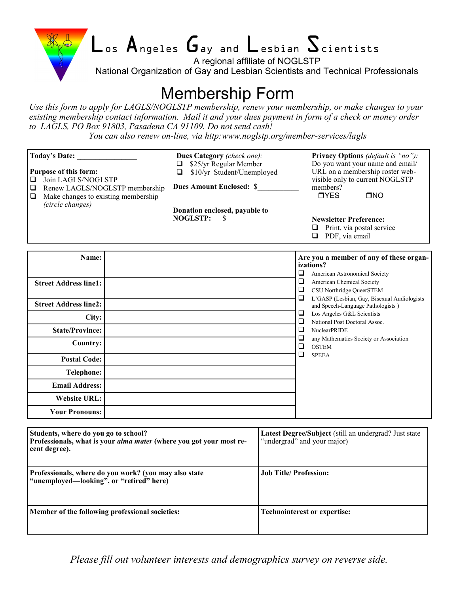

# $\mathsf{L}_{\mathsf{os}}$   $\mathsf{A}_{\mathsf{ngeles}}$   $\mathsf{G}_{\mathsf{ay}}$  and  $\mathsf{L}_{\mathsf{esbian}}$   $\mathsf{S}_{\mathsf{cientists}}$

A regional affiliate of NOGLSTP

National Organization of Gay and Lesbian Scientists and Technical Professionals

# Membership Form

*Use this form to apply for LAGLS/NOGLSTP membership, renew your membership, or make changes to your existing membership contact information. Mail it and your dues payment in form of a check or money order to LAGLS, PO Box 91803, Pasadena CA 91109. Do not send cash!* 

*You can also renew on-line, via http:www.noglstp.org/member-services/lagls*

| Today's Date:<br><b>Purpose of this form:</b><br>Join LAGLS/NOGLSTP<br>⊔<br>Renew LAGLS/NOGLSTP membership<br>❏<br>Make changes to existing membership<br>❏<br>(circle changes) | Dues Category (check one):<br>\$25/yr Regular Member<br>❏.<br>\$10/yr Student/Unemployed<br>$\Box$<br><b>Dues Amount Enclosed: \$</b><br>Donation enclosed, payable to<br><b>NOGLSTP:</b><br>\$ |                                                                                                                                                                         | Privacy Options (default is "no"):<br>Do you want your name and email/<br>URL on a membership roster web-<br>visible only to current NOGLSTP<br>members?<br><b>TYES</b><br>$\square$ NO<br><b>Newsletter Preference:</b><br>Print, via postal service<br>$\Box$<br>$\Box$ PDF, via email |  |
|---------------------------------------------------------------------------------------------------------------------------------------------------------------------------------|-------------------------------------------------------------------------------------------------------------------------------------------------------------------------------------------------|-------------------------------------------------------------------------------------------------------------------------------------------------------------------------|------------------------------------------------------------------------------------------------------------------------------------------------------------------------------------------------------------------------------------------------------------------------------------------|--|
| Name:<br><b>Street Address line1:</b>                                                                                                                                           |                                                                                                                                                                                                 | Are you a member of any of these organ-<br>izations?<br>$\Box$<br>American Astronomical Society<br>$\Box$<br>American Chemical Society<br>❏<br>CSU Northridge QueerSTEM |                                                                                                                                                                                                                                                                                          |  |
| <b>Street Address line2:</b>                                                                                                                                                    |                                                                                                                                                                                                 | ❏                                                                                                                                                                       | L'GASP (Lesbian, Gay, Bisexual Audiologists<br>and Speech-Language Pathologists)<br>Los Angeles G&L Scientists<br>National Post Doctoral Assoc.<br><b>NuclearPRIDE</b>                                                                                                                   |  |
| City:                                                                                                                                                                           |                                                                                                                                                                                                 | ❏<br>❏                                                                                                                                                                  |                                                                                                                                                                                                                                                                                          |  |
| <b>State/Province:</b>                                                                                                                                                          |                                                                                                                                                                                                 | ❏                                                                                                                                                                       |                                                                                                                                                                                                                                                                                          |  |
| <b>Country:</b>                                                                                                                                                                 |                                                                                                                                                                                                 | $\Box$<br>❏                                                                                                                                                             | any Mathematics Society or Association<br><b>OSTEM</b>                                                                                                                                                                                                                                   |  |
| <b>Postal Code:</b>                                                                                                                                                             |                                                                                                                                                                                                 | $\Box$                                                                                                                                                                  | <b>SPEEA</b>                                                                                                                                                                                                                                                                             |  |
| Telephone:                                                                                                                                                                      |                                                                                                                                                                                                 |                                                                                                                                                                         |                                                                                                                                                                                                                                                                                          |  |
| <b>Email Address:</b>                                                                                                                                                           |                                                                                                                                                                                                 |                                                                                                                                                                         |                                                                                                                                                                                                                                                                                          |  |
| <b>Website URL:</b>                                                                                                                                                             |                                                                                                                                                                                                 |                                                                                                                                                                         |                                                                                                                                                                                                                                                                                          |  |
| <b>Your Pronouns:</b>                                                                                                                                                           |                                                                                                                                                                                                 |                                                                                                                                                                         |                                                                                                                                                                                                                                                                                          |  |
| Students, where do you go to school?<br>cent degree).<br>Professionals, where do you work? (you may also state                                                                  | Professionals, what is your alma mater (where you got your most re-                                                                                                                             | Latest Degree/Subject (still an undergrad? Just state<br>"undergrad" and your major)<br><b>Job Title/ Profession:</b>                                                   |                                                                                                                                                                                                                                                                                          |  |
| "unemployed—looking", or "retired" here)<br>Member of the following professional societies:                                                                                     |                                                                                                                                                                                                 | <b>Technointerest or expertise:</b>                                                                                                                                     |                                                                                                                                                                                                                                                                                          |  |
|                                                                                                                                                                                 |                                                                                                                                                                                                 |                                                                                                                                                                         |                                                                                                                                                                                                                                                                                          |  |

*Please fill out volunteer interests and demographics survey on reverse side.*